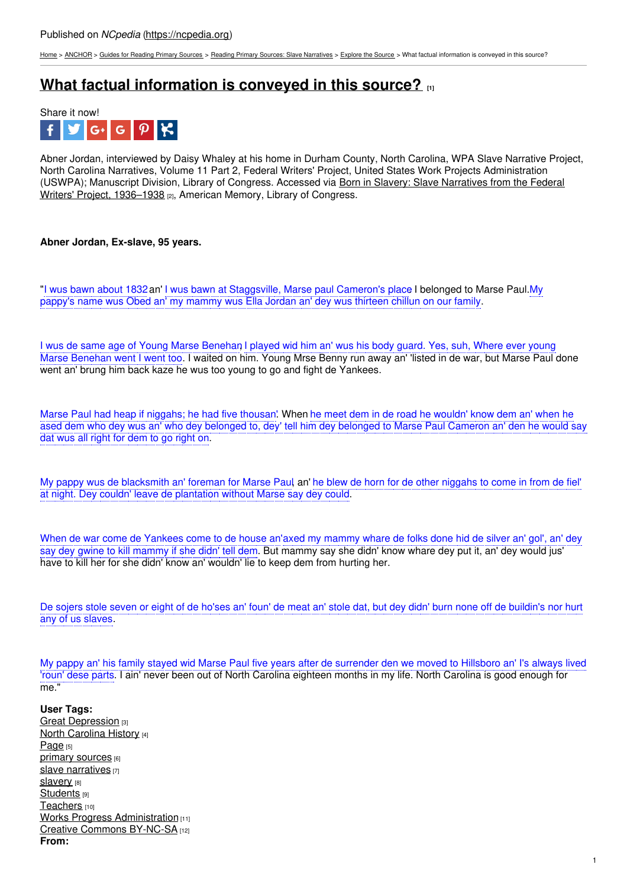[Home](https://ncpedia.org/) > [ANCHOR](https://ncpedia.org/anchor/anchor) > Guides for [Reading](https://ncpedia.org/anchor/guides-reading-primary) Primary Sources > Reading Primary Sources: Slave [Narratives](https://ncpedia.org/anchor/reading-primary-sources-0) > [Explore](https://ncpedia.org/anchor/explore-source) the Source > What factual information is conveyed in this source?

## **What factual [information](https://ncpedia.org/anchor/what-factual-information) is conveyed in this source? [1]**



Abner Jordan, interviewed by Daisy Whaley at his home in Durham County, North Carolina, WPA Slave Narrative Project, North Carolina Narratives, Volume 11 Part 2, Federal Writers' Project, United States Work Projects Administration (USWPA); [Manuscript](https://www.loc.gov/collections/slave-narratives-from-the-federal-writers-project-1936-to-1938/about-this-collection/) Division, Library of Congress. Accessed via Born in Slavery: Slave Narratives from the Federal Writers' Project, 1936–1938 [2], American Memory, Library of Congress.

## **Abner Jordan, Ex-slave, 95 years.**

"I wus bawn about 1832an' I wus bawn at [Staggsville,](http://www.social9.com) Marse paul Cameron's place. I belonged to Marse Paul.My pappy's name wus Obed an' my mammy wus Ella Jordan an' dey wus thirteen chillun on our family.

I wus de same age of Young Marse Benehan I played wid him an' wus his body guard. Yes, suh, Where ever young Marse Benehan went I went too. I waited on him. Young Mrse Benny run away an' 'listed in de war, but Marse Paul done went an' brung him back kaze he wus too young to go and fight de Yankees.

Marse Paul had heap if niggahs; he had five thousan'. When he meet dem in de road he wouldn' know dem an' when he ased dem who dey wus an' who dey belonged to, dey' tell him dey belonged to Marse Paul Cameron an' den he would say dat wus all right for dem to go right on.

My pappy wus de blacksmith an' foreman for Marse Paul, an' he blew de horn for de other niggahs to come in from de fiel' at night. Dey couldn' leave de plantation without Marse say dey could.

When de war come de Yankees come to de house an'axed my mammy whare de folks done hid de silver an' gol', an' dev say dey gwine to kill mammy if she didn' tell dem. But mammy say she didn' know whare dey put it, an' dey would jus' have to kill her for she didn' know an' wouldn' lie to keep dem from hurting her.

De sojers stole seven or eight of de ho'ses an' foun' de meat an' stole dat, but dey didn' burn none off de buildin's nor hurt any of us slaves.

My pappy an' his family stayed wid Marse Paul five years after de surrender den we moved to Hillsboro an' I's always lived 'roun' dese parts. I ain' never been out of North Carolina eighteen months in my life. North Carolina is good enough for me."

**User Tags:** Great [Depression](https://ncpedia.org/category/user-tags/great-depression) [3] North [Carolina](https://ncpedia.org/category/user-tags/north-carolina-6) History [4] [Page](https://ncpedia.org/category/user-tags/page) [5] primary [sources](https://ncpedia.org/category/user-tags/primary-sources) [6] slave [narratives](https://ncpedia.org/category/user-tags/slave-narratives) [7] [slavery](https://ncpedia.org/category/user-tags/slavery) [8] [Students](https://ncpedia.org/category/user-tags/students) [9] [Teachers](https://ncpedia.org/category/user-tags/teachers) [10] Works Progress [Administration](https://ncpedia.org/category/user-tags/works-progress) [11] Creative Commons [BY-NC-SA](https://ncpedia.org/category/user-tags/creative-commons) [12] **From:**